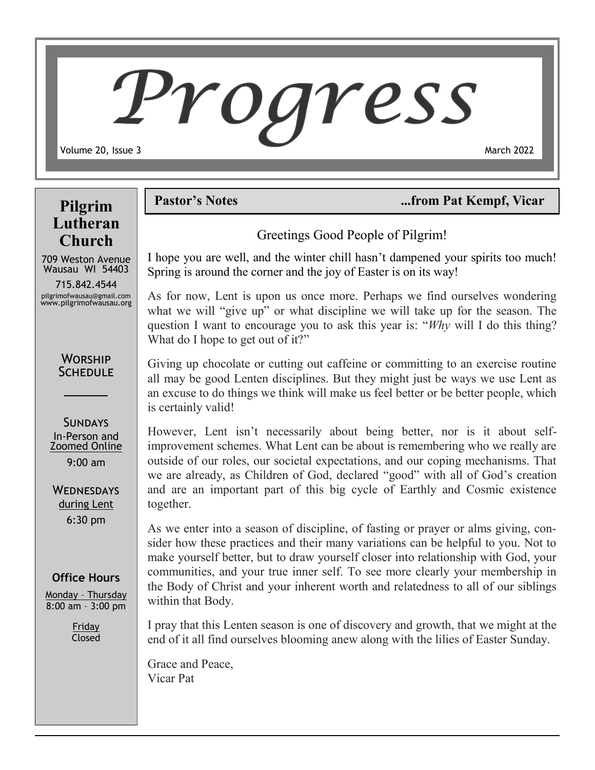# rogress Volume 20, Issue 3 March 2022

# **Pilgrim Lutheran Church**

709 Weston Avenue Wausau WI 54403 715.842.4544 pilgrimofwausau@gmail.com www.pilgrimofwausau.org

### **WORSHIP** SCHEDULE

**SUNDAYS** In-Person and Zoomed Online

9:00 am

**WEDNESDAYS** during Lent 6:30 pm

### **Office Hours**

Monday – Thursday 8:00 am – 3:00 pm

> Friday Closed

# **Pastor's Notes ...from Pat Kempf, Vicar**

### Greetings Good People of Pilgrim!

I hope you are well, and the winter chill hasn't dampened your spirits too much! Spring is around the corner and the joy of Easter is on its way!

As for now, Lent is upon us once more. Perhaps we find ourselves wondering what we will "give up" or what discipline we will take up for the season. The question I want to encourage you to ask this year is: "*Why* will I do this thing? What do I hope to get out of it?"

Giving up chocolate or cutting out caffeine or committing to an exercise routine all may be good Lenten disciplines. But they might just be ways we use Lent as an excuse to do things we think will make us feel better or be better people, which is certainly valid!

However, Lent isn't necessarily about being better, nor is it about selfimprovement schemes. What Lent can be about is remembering who we really are outside of our roles, our societal expectations, and our coping mechanisms. That we are already, as Children of God, declared "good" with all of God's creation and are an important part of this big cycle of Earthly and Cosmic existence together.

As we enter into a season of discipline, of fasting or prayer or alms giving, consider how these practices and their many variations can be helpful to you. Not to make yourself better, but to draw yourself closer into relationship with God, your communities, and your true inner self. To see more clearly your membership in the Body of Christ and your inherent worth and relatedness to all of our siblings within that Body.

I pray that this Lenten season is one of discovery and growth, that we might at the end of it all find ourselves blooming anew along with the lilies of Easter Sunday.

Grace and Peace, Vicar Pat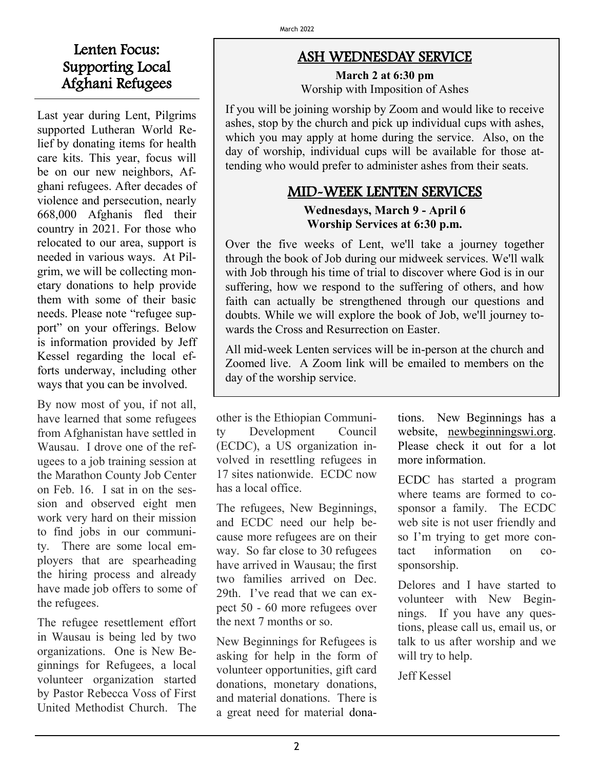# Lenten Focus: Supporting Local Afghani Refugees

Last year during Lent, Pilgrims supported Lutheran World Relief by donating items for health care kits. This year, focus will be on our new neighbors, Afghani refugees. After decades of violence and persecution, nearly 668,000 Afghanis fled their country in 2021. For those who relocated to our area, support is needed in various ways. At Pilgrim, we will be collecting monetary donations to help provide them with some of their basic needs. Please note "refugee support" on your offerings. Below is information provided by Jeff Kessel regarding the local efforts underway, including other ways that you can be involved.

By now most of you, if not all, have learned that some refugees from Afghanistan have settled in Wausau. I drove one of the refugees to a job training session at the Marathon County Job Center on Feb. 16. I sat in on the session and observed eight men work very hard on their mission to find jobs in our community. There are some local employers that are spearheading the hiring process and already have made job offers to some of the refugees.

The refugee resettlement effort in Wausau is being led by two organizations. One is New Beginnings for Refugees, a local volunteer organization started by Pastor Rebecca Voss of First United Methodist Church. The

# ASH WEDNESDAY SERVICE

**March 2 at 6:30 pm** Worship with Imposition of Ashes

If you will be joining worship by Zoom and would like to receive ashes, stop by the church and pick up individual cups with ashes, which you may apply at home during the service. Also, on the day of worship, individual cups will be available for those attending who would prefer to administer ashes from their seats.

# MID-WEEK LENTEN SERVICES

### **Wednesdays, March 9 - April 6 Worship Services at 6:30 p.m.**

Over the five weeks of Lent, we'll take a journey together through the book of Job during our midweek services. We'll walk with Job through his time of trial to discover where God is in our suffering, how we respond to the suffering of others, and how faith can actually be strengthened through our questions and doubts. While we will explore the book of Job, we'll journey towards the Cross and Resurrection on Easter.

All mid-week Lenten services will be in-person at the church and Zoomed live. A Zoom link will be emailed to members on the day of the worship service.

other is the Ethiopian Community Development Council (ECDC), a US organization involved in resettling refugees in 17 sites nationwide. ECDC now has a local office.

The refugees, New Beginnings, and ECDC need our help because more refugees are on their way. So far close to 30 refugees have arrived in Wausau; the first two families arrived on Dec. 29th. I've read that we can expect 50 - 60 more refugees over the next 7 months or so.

New Beginnings for Refugees is asking for help in the form of volunteer opportunities, gift card donations, monetary donations, and material donations. There is a great need for material donations. New Beginnings has a website, [newbeginningswi.org.](http://newbeginningswi.org/) Please check it out for a lot more information.

ECDC has started a program where teams are formed to cosponsor a family. The ECDC web site is not user friendly and so I'm trying to get more contact information on cosponsorship.

Delores and I have started to volunteer with New Beginnings. If you have any questions, please call us, email us, or talk to us after worship and we will try to help.

Jeff Kessel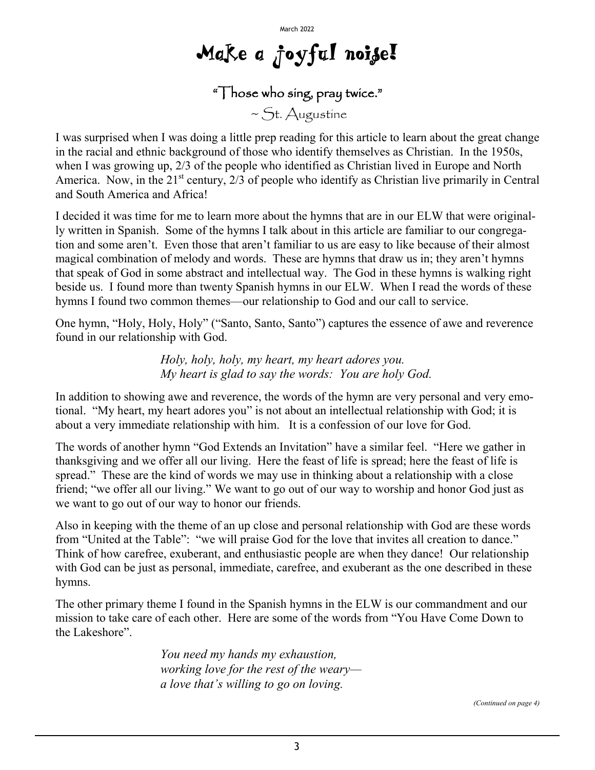March 2022

# Make a joyful noise!

# "Those who sing, pray twice."

~ St. Augustine

I was surprised when I was doing a little prep reading for this article to learn about the great change in the racial and ethnic background of those who identify themselves as Christian. In the 1950s, when I was growing up, 2/3 of the people who identified as Christian lived in Europe and North America. Now, in the 21<sup>st</sup> century, 2/3 of people who identify as Christian live primarily in Central and South America and Africa!

I decided it was time for me to learn more about the hymns that are in our ELW that were originally written in Spanish. Some of the hymns I talk about in this article are familiar to our congregation and some aren't. Even those that aren't familiar to us are easy to like because of their almost magical combination of melody and words. These are hymns that draw us in; they aren't hymns that speak of God in some abstract and intellectual way. The God in these hymns is walking right beside us. I found more than twenty Spanish hymns in our ELW. When I read the words of these hymns I found two common themes—our relationship to God and our call to service.

One hymn, "Holy, Holy, Holy" ("Santo, Santo, Santo") captures the essence of awe and reverence found in our relationship with God.

> *Holy, holy, holy, my heart, my heart adores you. My heart is glad to say the words: You are holy God.*

In addition to showing awe and reverence, the words of the hymn are very personal and very emotional. "My heart, my heart adores you" is not about an intellectual relationship with God; it is about a very immediate relationship with him. It is a confession of our love for God.

The words of another hymn "God Extends an Invitation" have a similar feel. "Here we gather in thanksgiving and we offer all our living. Here the feast of life is spread; here the feast of life is spread." These are the kind of words we may use in thinking about a relationship with a close friend; "we offer all our living." We want to go out of our way to worship and honor God just as we want to go out of our way to honor our friends.

Also in keeping with the theme of an up close and personal relationship with God are these words from "United at the Table": "we will praise God for the love that invites all creation to dance." Think of how carefree, exuberant, and enthusiastic people are when they dance! Our relationship with God can be just as personal, immediate, carefree, and exuberant as the one described in these hymns.

The other primary theme I found in the Spanish hymns in the ELW is our commandment and our mission to take care of each other. Here are some of the words from "You Have Come Down to the Lakeshore".

> *You need my hands my exhaustion, working love for the rest of the weary a love that's willing to go on loving.*

> > *(Continued on page 4)*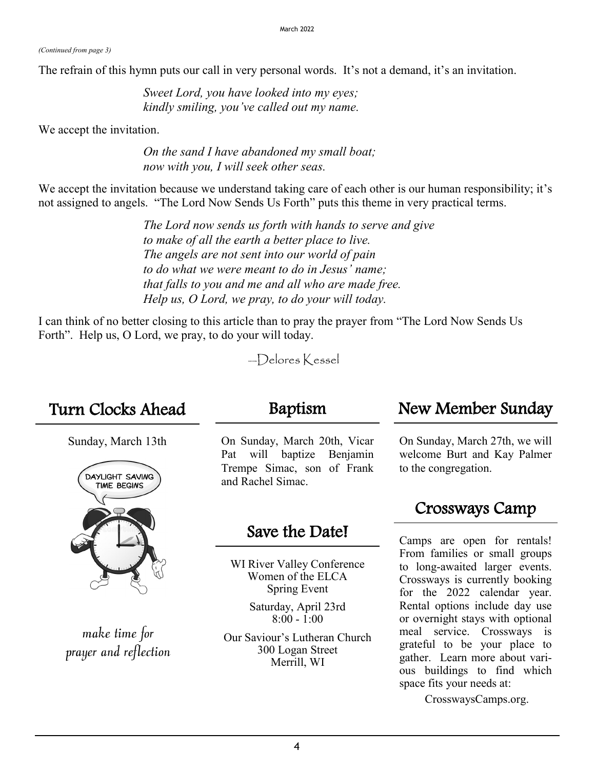The refrain of this hymn puts our call in very personal words. It's not a demand, it's an invitation.

*Sweet Lord, you have looked into my eyes; kindly smiling, you've called out my name.*

We accept the invitation.

*On the sand I have abandoned my small boat; now with you, I will seek other seas.*

We accept the invitation because we understand taking care of each other is our human responsibility; it's not assigned to angels. "The Lord Now Sends Us Forth" puts this theme in very practical terms.

> *The Lord now sends us forth with hands to serve and give to make of all the earth a better place to live. The angels are not sent into our world of pain to do what we were meant to do in Jesus' name; that falls to you and me and all who are made free. Help us, O Lord, we pray, to do your will today.*

I can think of no better closing to this article than to pray the prayer from "The Lord Now Sends Us Forth". Help us, O Lord, we pray, to do your will today.

—Delores Kessel

# Turn Clocks Ahead

Sunday, March 13th



make time for prayer and reflection Baptism

On Sunday, March 20th, Vicar Pat will baptize Benjamin Trempe Simac, son of Frank and Rachel Simac.

# Save the Date!

WI River Valley Conference Women of the ELCA Spring Event

> Saturday, April 23rd  $8:00 - 1:00$

Our Saviour's Lutheran Church 300 Logan Street Merrill, WI

# New Member Sunday

On Sunday, March 27th, we will welcome Burt and Kay Palmer to the congregation.

# Crossways Camp

Camps are open for rentals! From families or small groups to long-awaited larger events. Crossways is currently booking for the 2022 calendar year. Rental options include day use or overnight stays with optional meal service. Crossways is grateful to be your place to gather. Learn more about various buildings to find which space fits your needs at:

CrosswaysCamps.org.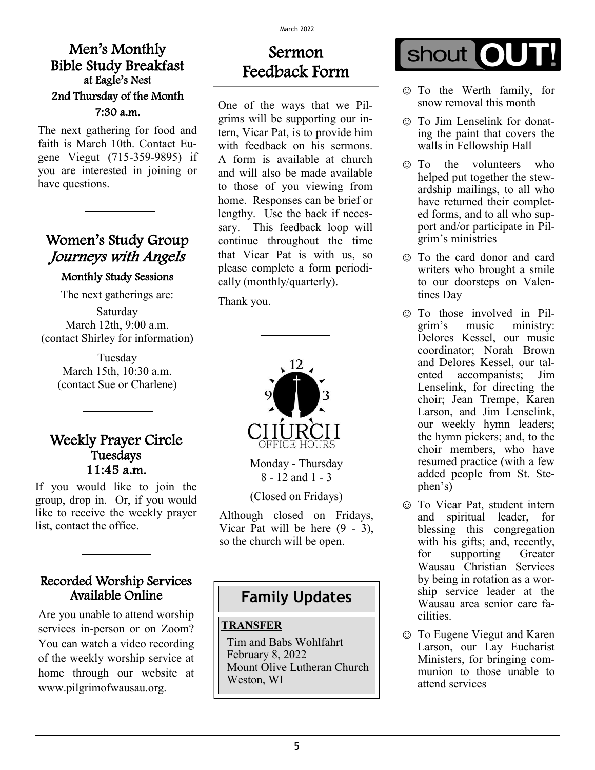### Men's Monthly Bible Study Breakfast at Eagle's Nest 2nd Thursday of the Month 7:30 a.m.

The next gathering for food and faith is March 10th. Contact Eugene Viegut (715-359-9895) if you are interested in joining or have questions.

# Women's Study Group Journeys with Angels

### Monthly Study Sessions

The next gatherings are:

Saturday March 12th, 9:00 a.m. (contact Shirley for information)

> Tuesday March 15th, 10:30 a.m. (contact Sue or Charlene)

### Weekly Prayer Circle Tuesdays 11:45 a.m.

If you would like to join the group, drop in. Or, if you would like to receive the weekly prayer list, contact the office.

### Recorded Worship Services Available Online

Are you unable to attend worship services in-person or on Zoom? You can watch a video recording of the weekly worship service at home through our website at www.pilgrimofwausau.org.

# Sermon Feedback Form

One of the ways that we Pilgrims will be supporting our intern, Vicar Pat, is to provide him with feedback on his sermons. A form is available at church and will also be made available to those of you viewing from home. Responses can be brief or lengthy. Use the back if necessary. This feedback loop will continue throughout the time that Vicar Pat is with us, so please complete a form periodically (monthly/quarterly).

Thank you.



Monday - Thursday 8 - 12 and 1 - 3

(Closed on Fridays)

Although closed on Fridays, Vicar Pat will be here (9 - 3), so the church will be open.

# **Family Updates**

#### **TRANSFER**

 Tim and Babs Wohlfahrt February 8, 2022 Mount Olive Lutheran Church Weston, WI

# shout OUT

- ☺ To the Werth family, for snow removal this month
- ☺ To Jim Lenselink for donating the paint that covers the walls in Fellowship Hall
- ☺ To the volunteers who helped put together the stewardship mailings, to all who have returned their completed forms, and to all who support and/or participate in Pilgrim's ministries
- ☺ To the card donor and card writers who brought a smile to our doorsteps on Valentines Day
- ☺ To those involved in Pilgrim's music ministry: Delores Kessel, our music coordinator; Norah Brown and Delores Kessel, our talented accompanists; Jim Lenselink, for directing the choir; Jean Trempe, Karen Larson, and Jim Lenselink, our weekly hymn leaders; the hymn pickers; and, to the choir members, who have resumed practice (with a few added people from St. Stephen's)
- ☺ To Vicar Pat, student intern and spiritual leader, for blessing this congregation with his gifts; and, recently, for supporting Greater Wausau Christian Services by being in rotation as a worship service leader at the Wausau area senior care facilities.
- ☺ To Eugene Viegut and Karen Larson, our Lay Eucharist Ministers, for bringing communion to those unable to attend services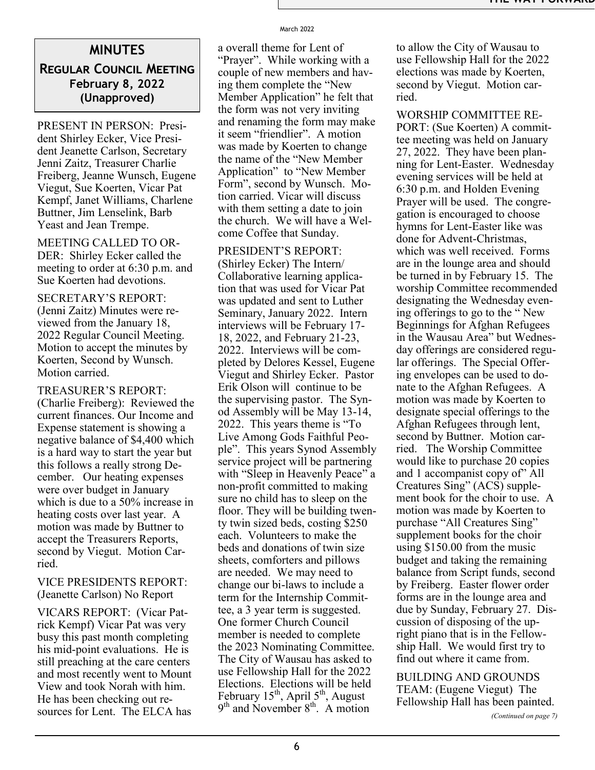### **MINUTES Regular Council Meeting February 8, 2022 (Unapproved)**

PRESENT IN PERSON: President Shirley Ecker, Vice President Jeanette Carlson, Secretary Jenni Zaitz, Treasurer Charlie Freiberg, Jeanne Wunsch, Eugene Viegut, Sue Koerten, Vicar Pat Kempf, Janet Williams, Charlene Buttner, Jim Lenselink, Barb Yeast and Jean Trempe.

MEETING CALLED TO OR-DER: Shirley Ecker called the meeting to order at 6:30 p.m. and Sue Koerten had devotions.

SECRETARY'S REPORT: (Jenni Zaitz) Minutes were reviewed from the January 18, 2022 Regular Council Meeting. Motion to accept the minutes by Koerten, Second by Wunsch. Motion carried.

TREASURER'S REPORT: (Charlie Freiberg): Reviewed the current finances. Our Income and Expense statement is showing a negative balance of \$4,400 which is a hard way to start the year but this follows a really strong December. Our heating expenses were over budget in January which is due to a 50% increase in heating costs over last year. A motion was made by Buttner to accept the Treasurers Reports, second by Viegut. Motion Carried.

VICE PRESIDENTS REPORT: (Jeanette Carlson) No Report

VICARS REPORT: (Vicar Patrick Kempf) Vicar Pat was very busy this past month completing his mid-point evaluations. He is still preaching at the care centers and most recently went to Mount View and took Norah with him. He has been checking out resources for Lent. The ELCA has

a overall theme for Lent of "Prayer". While working with a couple of new members and having them complete the "New Member Application" he felt that the form was not very inviting and renaming the form may make it seem "friendlier". A motion was made by Koerten to change the name of the "New Member Application" to "New Member Form", second by Wunsch. Motion carried. Vicar will discuss with them setting a date to join the church. We will have a Welcome Coffee that Sunday.

PRESIDENT'S REPORT: (Shirley Ecker) The Intern/ Collaborative learning application that was used for Vicar Pat was updated and sent to Luther Seminary, January 2022. Intern interviews will be February 17- 18, 2022, and February 21-23, 2022. Interviews will be completed by Delores Kessel, Eugene Viegut and Shirley Ecker. Pastor Erik Olson will continue to be the supervising pastor. The Synod Assembly will be May 13-14, 2022. This years theme is "To Live Among Gods Faithful People". This years Synod Assembly service project will be partnering with "Sleep in Heavenly Peace" a non-profit committed to making sure no child has to sleep on the floor. They will be building twenty twin sized beds, costing \$250 each. Volunteers to make the beds and donations of twin size sheets, comforters and pillows are needed. We may need to change our bi-laws to include a term for the Internship Committee, a 3 year term is suggested. One former Church Council member is needed to complete the 2023 Nominating Committee. The City of Wausau has asked to use Fellowship Hall for the 2022 Elections. Elections will be held February  $15^{th}$ , April  $5^{th}$ , August 9<sup>th</sup> and November 8<sup>th</sup>. A motion

to allow the City of Wausau to use Fellowship Hall for the 2022 elections was made by Koerten, second by Viegut. Motion carried.

WORSHIP COMMITTEE RE-PORT: (Sue Koerten) A committee meeting was held on January 27, 2022. They have been planning for Lent-Easter. Wednesday evening services will be held at 6:30 p.m. and Holden Evening Prayer will be used. The congregation is encouraged to choose hymns for Lent-Easter like was done for Advent-Christmas, which was well received. Forms are in the lounge area and should be turned in by February 15. The worship Committee recommended designating the Wednesday evening offerings to go to the " New Beginnings for Afghan Refugees in the Wausau Area" but Wednesday offerings are considered regular offerings. The Special Offering envelopes can be used to donate to the Afghan Refugees. A motion was made by Koerten to designate special offerings to the Afghan Refugees through lent, second by Buttner. Motion carried. The Worship Committee would like to purchase 20 copies and 1 accompanist copy of" All Creatures Sing" (ACS) supplement book for the choir to use. A motion was made by Koerten to purchase "All Creatures Sing" supplement books for the choir using \$150.00 from the music budget and taking the remaining balance from Script funds, second by Freiberg. Easter flower order forms are in the lounge area and due by Sunday, February 27. Discussion of disposing of the upright piano that is in the Fellowship Hall. We would first try to find out where it came from.

BUILDING AND GROUNDS TEAM: (Eugene Viegut) The Fellowship Hall has been painted.

*(Continued on page 7)*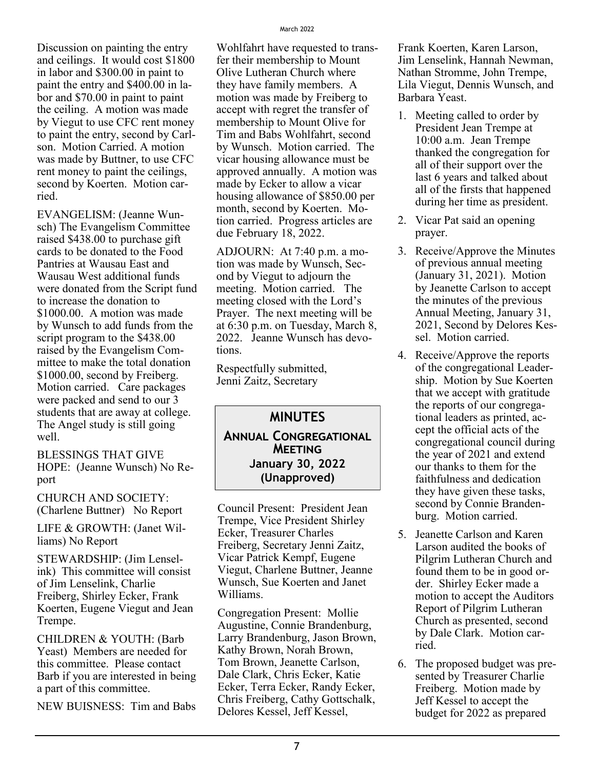Discussion on painting the entry and ceilings. It would cost \$1800 in labor and \$300.00 in paint to paint the entry and \$400.00 in labor and \$70.00 in paint to paint the ceiling. A motion was made by Viegut to use CFC rent money to paint the entry, second by Carlson. Motion Carried. A motion was made by Buttner, to use CFC rent money to paint the ceilings, second by Koerten. Motion carried.

EVANGELISM: (Jeanne Wunsch) The Evangelism Committee raised \$438.00 to purchase gift cards to be donated to the Food Pantries at Wausau East and Wausau West additional funds were donated from the Script fund to increase the donation to \$1000.00. A motion was made by Wunsch to add funds from the script program to the \$438.00 raised by the Evangelism Committee to make the total donation \$1000.00, second by Freiberg. Motion carried. Care packages were packed and send to our 3 students that are away at college. The Angel study is still going well.

#### BLESSINGS THAT GIVE HOPE: (Jeanne Wunsch) No Report

CHURCH AND SOCIETY: (Charlene Buttner) No Report

LIFE & GROWTH: (Janet Williams) No Report

STEWARDSHIP: (Jim Lenselink) This committee will consist of Jim Lenselink, Charlie Freiberg, Shirley Ecker, Frank Koerten, Eugene Viegut and Jean Trempe.

CHILDREN & YOUTH: (Barb Yeast) Members are needed for this committee. Please contact Barb if you are interested in being a part of this committee.

NEW BUISNESS: Tim and Babs

Wohlfahrt have requested to transfer their membership to Mount Olive Lutheran Church where they have family members. A motion was made by Freiberg to accept with regret the transfer of membership to Mount Olive for Tim and Babs Wohlfahrt, second by Wunsch. Motion carried. The vicar housing allowance must be approved annually. A motion was made by Ecker to allow a vicar housing allowance of \$850.00 per month, second by Koerten. Motion carried. Progress articles are due February 18, 2022.

ADJOURN: At 7:40 p.m. a motion was made by Wunsch, Second by Viegut to adjourn the meeting. Motion carried. The meeting closed with the Lord's Prayer. The next meeting will be at 6:30 p.m. on Tuesday, March 8, 2022. Jeanne Wunsch has devotions.

Respectfully submitted, Jenni Zaitz, Secretary

### **MINUTES**

**Annual Congregational Meeting January 30, 2022 (Unapproved)**

Council Present: President Jean Trempe, Vice President Shirley Ecker, Treasurer Charles Freiberg, Secretary Jenni Zaitz, Vicar Patrick Kempf, Eugene Viegut, Charlene Buttner, Jeanne Wunsch, Sue Koerten and Janet Williams.

Congregation Present: Mollie Augustine, Connie Brandenburg, Larry Brandenburg, Jason Brown, Kathy Brown, Norah Brown, Tom Brown, Jeanette Carlson, Dale Clark, Chris Ecker, Katie Ecker, Terra Ecker, Randy Ecker, Chris Freiberg, Cathy Gottschalk, Delores Kessel, Jeff Kessel,

Frank Koerten, Karen Larson, Jim Lenselink, Hannah Newman, Nathan Stromme, John Trempe, Lila Viegut, Dennis Wunsch, and Barbara Yeast.

- 1. Meeting called to order by President Jean Trempe at 10:00 a.m. Jean Trempe thanked the congregation for all of their support over the last 6 years and talked about all of the firsts that happened during her time as president.
- 2. Vicar Pat said an opening prayer.
- 3. Receive/Approve the Minutes of previous annual meeting (January 31, 2021). Motion by Jeanette Carlson to accept the minutes of the previous Annual Meeting, January 31, 2021, Second by Delores Kessel. Motion carried.
- 4. Receive/Approve the reports of the congregational Leadership. Motion by Sue Koerten that we accept with gratitude the reports of our congregational leaders as printed, accept the official acts of the congregational council during the year of 2021 and extend our thanks to them for the faithfulness and dedication they have given these tasks, second by Connie Brandenburg. Motion carried.
- 5. Jeanette Carlson and Karen Larson audited the books of Pilgrim Lutheran Church and found them to be in good order. Shirley Ecker made a motion to accept the Auditors Report of Pilgrim Lutheran Church as presented, second by Dale Clark. Motion carried.
- 6. The proposed budget was presented by Treasurer Charlie Freiberg. Motion made by Jeff Kessel to accept the budget for 2022 as prepared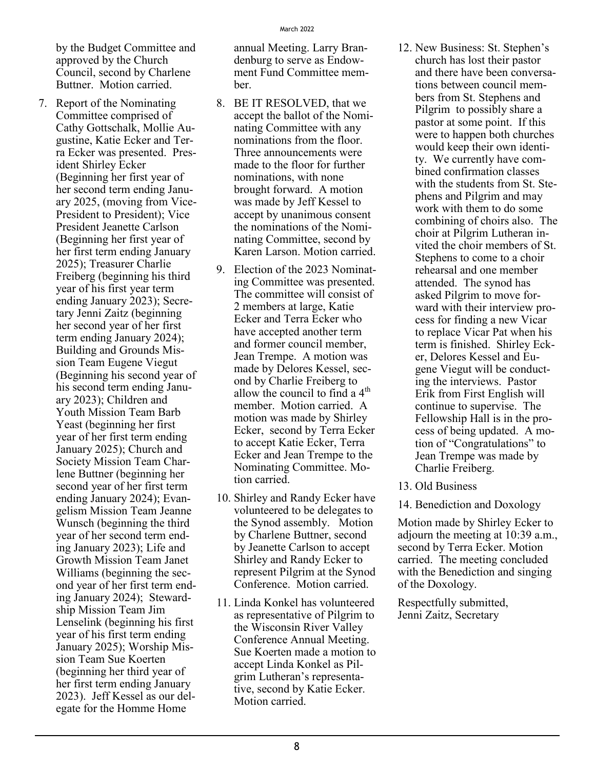by the Budget Committee and approved by the Church Council, second by Charlene Buttner. Motion carried.

7. Report of the Nominating Committee comprised of Cathy Gottschalk, Mollie Augustine, Katie Ecker and Terra Ecker was presented. President Shirley Ecker (Beginning her first year of her second term ending January 2025, (moving from Vice-President to President); Vice President Jeanette Carlson (Beginning her first year of her first term ending January 2025); Treasurer Charlie Freiberg (beginning his third year of his first year term ending January 2023); Secretary Jenni Zaitz (beginning her second year of her first term ending January 2024); Building and Grounds Mission Team Eugene Viegut (Beginning his second year of his second term ending January 2023); Children and Youth Mission Team Barb Yeast (beginning her first year of her first term ending January 2025); Church and Society Mission Team Charlene Buttner (beginning her second year of her first term ending January 2024); Evangelism Mission Team Jeanne Wunsch (beginning the third year of her second term ending January 2023); Life and Growth Mission Team Janet Williams (beginning the second year of her first term ending January 2024); Stewardship Mission Team Jim Lenselink (beginning his first year of his first term ending January 2025); Worship Mission Team Sue Koerten (beginning her third year of her first term ending January 2023). Jeff Kessel as our delegate for the Homme Home

annual Meeting. Larry Brandenburg to serve as Endowment Fund Committee member.

- 8. BE IT RESOLVED, that we accept the ballot of the Nominating Committee with any nominations from the floor. Three announcements were made to the floor for further nominations, with none brought forward. A motion was made by Jeff Kessel to accept by unanimous consent the nominations of the Nominating Committee, second by Karen Larson. Motion carried.
- 9. Election of the 2023 Nominating Committee was presented. The committee will consist of 2 members at large, Katie Ecker and Terra Ecker who have accepted another term and former council member, Jean Trempe. A motion was made by Delores Kessel, second by Charlie Freiberg to allow the council to find a  $4<sup>th</sup>$ member. Motion carried. A motion was made by Shirley Ecker, second by Terra Ecker to accept Katie Ecker, Terra Ecker and Jean Trempe to the Nominating Committee. Motion carried.
- 10. Shirley and Randy Ecker have volunteered to be delegates to the Synod assembly. Motion by Charlene Buttner, second by Jeanette Carlson to accept Shirley and Randy Ecker to represent Pilgrim at the Synod Conference. Motion carried.
- 11. Linda Konkel has volunteered as representative of Pilgrim to the Wisconsin River Valley Conference Annual Meeting. Sue Koerten made a motion to accept Linda Konkel as Pilgrim Lutheran's representative, second by Katie Ecker. Motion carried.
- 12. New Business: St. Stephen's church has lost their pastor and there have been conversations between council members from St. Stephens and Pilgrim to possibly share a pastor at some point. If this were to happen both churches would keep their own identity. We currently have combined confirmation classes with the students from St. Stephens and Pilgrim and may work with them to do some combining of choirs also. The choir at Pilgrim Lutheran invited the choir members of St. Stephens to come to a choir rehearsal and one member attended. The synod has asked Pilgrim to move forward with their interview process for finding a new Vicar to replace Vicar Pat when his term is finished. Shirley Ecker, Delores Kessel and Eugene Viegut will be conducting the interviews. Pastor Erik from First English will continue to supervise. The Fellowship Hall is in the process of being updated. A motion of "Congratulations" to Jean Trempe was made by Charlie Freiberg.
- 13. Old Business
- 14. Benediction and Doxology

Motion made by Shirley Ecker to adjourn the meeting at 10:39 a.m., second by Terra Ecker. Motion carried. The meeting concluded with the Benediction and singing of the Doxology.

Respectfully submitted, Jenni Zaitz, Secretary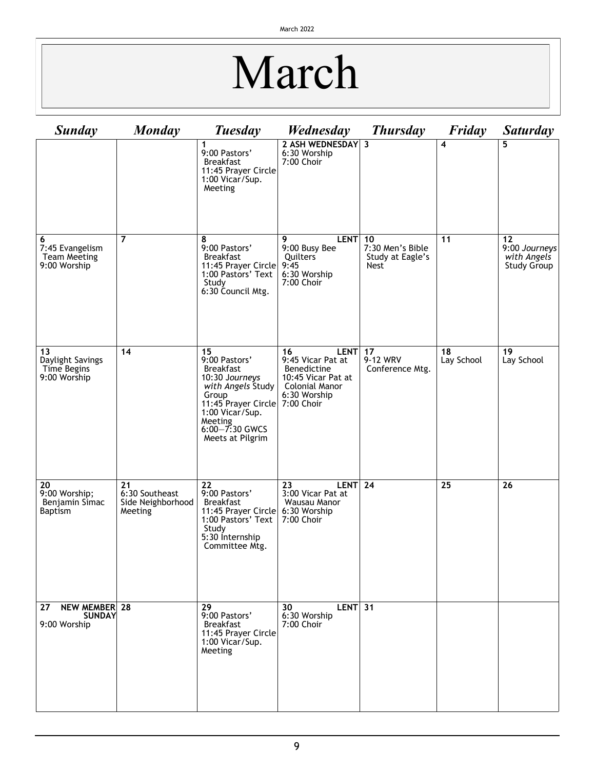# March

| <b>Sunday</b>                                               | <b>Monday</b>                                        | <b>Tuesday</b>                                                                                                                                                                         | <b>Wednesday</b>                                                                                                                   | <b>Thursday</b>                                           | <b>Friday</b>    | <b>Saturday</b>                                          |
|-------------------------------------------------------------|------------------------------------------------------|----------------------------------------------------------------------------------------------------------------------------------------------------------------------------------------|------------------------------------------------------------------------------------------------------------------------------------|-----------------------------------------------------------|------------------|----------------------------------------------------------|
|                                                             |                                                      | 1<br>9:00 Pastors'<br><b>Breakfast</b><br>11:45 Prayer Circle<br>1:00 Vicar/Sup.<br>Meeting                                                                                            | <b>2 ASH WEDNESDAY</b><br>6:30 Worship<br>7:00 Choir                                                                               | $\overline{\mathbf{3}}$                                   | 4                | 5                                                        |
| 6<br>7:45 Evangelism<br><b>Team Meeting</b><br>9:00 Worship | 7                                                    | 8<br>9:00 Pastors'<br><b>Breakfast</b><br>11:45 Prayer Circle<br>1:00 Pastors' Text<br>Study<br>6:30 Council Mtg.                                                                      | 9<br><b>LENT</b><br>9:00 Busy Bee<br>Quilters<br>9:45<br>6:30 Worship<br>7:00 Choir                                                | 10<br>7:30 Men's Bible<br>Study at Eagle's<br><b>Nest</b> | 11               | 12<br>9:00 Journeys<br>with Angels<br><b>Study Group</b> |
| 13<br>Daylight Savings<br>Time Begins<br>9:00 Worship       | 14                                                   | 15<br>9:00 Pastors'<br><b>Breakfast</b><br>10:30 Journeys<br>with Angels Study<br>Group<br>11:45 Prayer Circle<br>1:00 Vicar/Sup.<br>Meeting<br>$6:00 - 7:30$ GWCS<br>Meets at Pilgrim | <b>LENT</b><br>16<br>9:45 Vicar Pat at<br>Benedictine<br>10:45 Vicar Pat at<br><b>Colonial Manor</b><br>6:30 Worship<br>7:00 Choir | 17<br>9-12 WRV<br>Conference Mtg.                         | 18<br>Lay School | 19<br>Lay School                                         |
| 20<br>9:00 Worship;<br>Benjamin Simac<br><b>Baptism</b>     | 21<br>6:30 Southeast<br>Side Neighborhood<br>Meeting | 22<br>9:00 Pastors'<br><b>Breakfast</b><br>11:45 Prayer Circle<br>1:00 Pastors' Text<br>Study<br>5:30 Internship<br>Committee Mtg.                                                     | 23<br><b>LENT</b><br>3:00 Vicar Pat at<br>Wausau Manor<br>6:30 Worship<br>7:00 Choir                                               | 24                                                        | 25               | 26                                                       |
| <b>NEW MEMBER 28</b><br>27<br><b>SUNDAY</b><br>9:00 Worship |                                                      | 29<br>9:00 Pastors'<br><b>Breakfast</b><br>11:45 Prayer Circle<br>1:00 Vicar/Sup.<br>Meeting                                                                                           | <b>LENT</b><br>30<br>6:30 Worship<br>7:00 Choir                                                                                    | 31                                                        |                  |                                                          |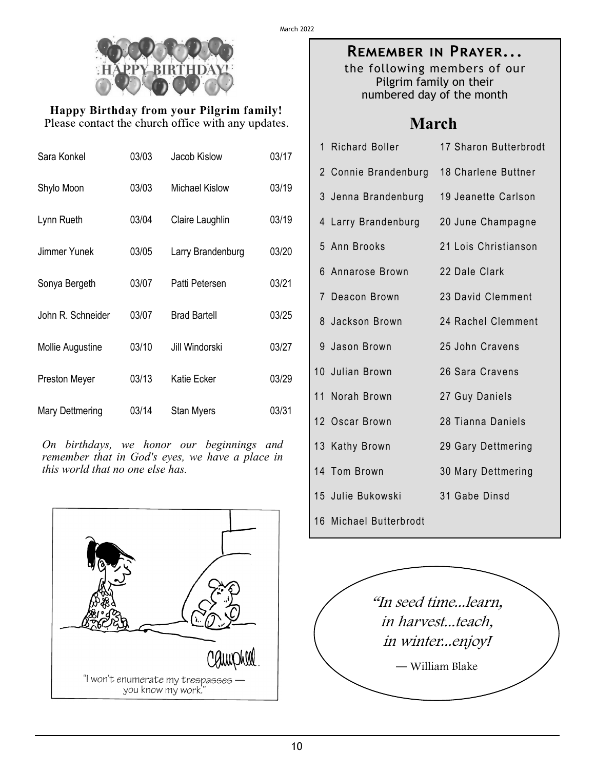

# **Happy Birthday from your Pilgrim family!**

| Sara Konkel       | 03/03 | Jacob Kislow          | 03/17 |
|-------------------|-------|-----------------------|-------|
| Shylo Moon        | 03/03 | <b>Michael Kislow</b> | 03/19 |
| Lynn Rueth        | 03/04 | Claire Laughlin       | 03/19 |
| Jimmer Yunek      | 03/05 | Larry Brandenburg     | 03/20 |
| Sonya Bergeth     | 03/07 | Patti Petersen        | 03/21 |
| John R. Schneider | 03/07 | <b>Brad Bartell</b>   | 03/25 |
| Mollie Augustine  | 03/10 | Jill Windorski        | 03/27 |
| Preston Meyer     | 03/13 | Katie Ecker           | 03/29 |
| Mary Dettmering   | 03/14 | Stan Myers            | 03/31 |

*On birthdays, we honor our beginnings and remember that in God's eyes, we have a place in this world that no one else has.*



# **Remember in Prayer...**

the following members of our Pilgrim family on their numbered day of the month

# **March**

|   | 1 Richard Boller       | 17 Sharon Butterbrodt |  |  |
|---|------------------------|-----------------------|--|--|
|   | 2 Connie Brandenburg   | 18 Charlene Buttner   |  |  |
| 3 | Jenna Brandenburg      | 19 Jeanette Carlson   |  |  |
| 4 | Larry Brandenburg      | 20 June Champagne     |  |  |
| 5 | Ann Brooks             | 21 Lois Christianson  |  |  |
| 6 | Annarose Brown         | 22 Dale Clark         |  |  |
| 7 | Deacon Brown           | 23 David Clemment     |  |  |
| 8 | Jackson Brown          | 24 Rachel Clemment    |  |  |
| 9 | Jason Brown            | 25 John Cravens       |  |  |
|   | 10 Julian Brown        | 26 Sara Cravens       |  |  |
|   | 11 Norah Brown         | 27 Guy Daniels        |  |  |
|   | 12 Oscar Brown         | 28 Tianna Daniels     |  |  |
|   | 13 Kathy Brown         | 29 Gary Dettmering    |  |  |
|   | 14 Tom Brown           | 30 Mary Dettmering    |  |  |
|   | 15 Julie Bukowski      | 31 Gabe Dinsd         |  |  |
|   | 16 Michael Butterbrodt |                       |  |  |

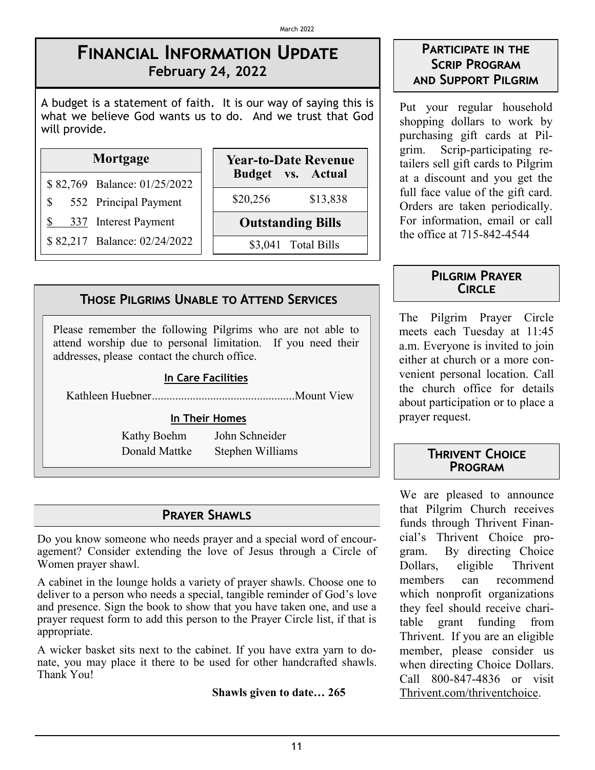# **Financial Information Update February 24, 2022**

A budget is a statement of faith. It is our way of saying this is what we believe God wants us to do. And we trust that God will provide.

### **Mortgage**

- \$ 82,769 Balance: 01/25/2022
- \$ 552 Principal Payment
- \$ 337 Interest Payment
- \$ 82,217 Balance: 02/24/2022

\$20,256 \$13,838 **Budget vs. Actual**

**Year-to-Date Revenue**

**Outstanding Bills** \$3,041 Total Bills

## **Those Pilgrims Unable to Attend Services**

Please remember the following Pilgrims who are not able to attend worship due to personal limitation. If you need their addresses, please contact the church office.

### **In Care Facilities**

Kathleen Huebner.................................................Mount View

### **In Their Homes**

Kathy Boehm John Schneider

Donald Mattke Stephen Williams

### **Prayer Shawls**

Do you know someone who needs prayer and a special word of encouragement? Consider extending the love of Jesus through a Circle of Women prayer shawl.

A cabinet in the lounge holds a variety of prayer shawls. Choose one to deliver to a person who needs a special, tangible reminder of God's love and presence. Sign the book to show that you have taken one, and use a prayer request form to add this person to the Prayer Circle list, if that is appropriate.

A wicker basket sits next to the cabinet. If you have extra yarn to donate, you may place it there to be used for other handcrafted shawls. Thank You!

#### **Shawls given to date… 265**

### **Participate in the Scrip Program and Support Pilgrim**

Put your regular household shopping dollars to work by purchasing gift cards at Pilgrim. Scrip-participating retailers sell gift cards to Pilgrim at a discount and you get the full face value of the gift card. Orders are taken periodically. For information, email or call the office at 715-842-4544

#### **Pilgrim Prayer Circle**

The Pilgrim Prayer Circle meets each Tuesday at 11:45 a.m. Everyone is invited to join either at church or a more convenient personal location. Call the church office for details about participation or to place a prayer request.

### **Thrivent Choice Program**

We are pleased to announce that Pilgrim Church receives funds through Thrivent Financial's Thrivent Choice program. By directing Choice Dollars, eligible Thrivent members can recommend which nonprofit organizations they feel should receive charitable grant funding from Thrivent. If you are an eligible member, please consider us when directing Choice Dollars. Call 800-847-4836 or visit [Thrivent.com/thriventchoice.](https://www.thrivent.com/thriventchoice/)